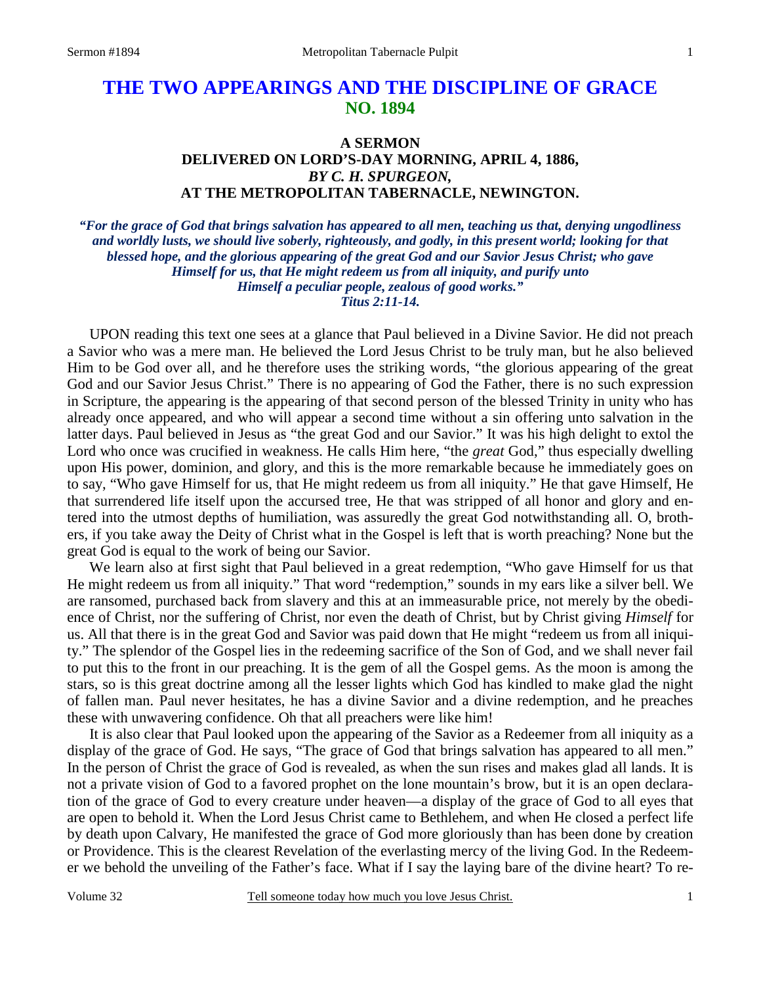## **THE TWO APPEARINGS AND THE DISCIPLINE OF GRACE NO. 1894**

## **A SERMON DELIVERED ON LORD'S-DAY MORNING, APRIL 4, 1886,**  *BY C. H. SPURGEON,*  **AT THE METROPOLITAN TABERNACLE, NEWINGTON.**

*"For the grace of God that brings salvation has appeared to all men, teaching us that, denying ungodliness and worldly lusts, we should live soberly, righteously, and godly, in this present world; looking for that blessed hope, and the glorious appearing of the great God and our Savior Jesus Christ; who gave Himself for us, that He might redeem us from all iniquity, and purify unto Himself a peculiar people, zealous of good works." Titus 2:11-14.* 

UPON reading this text one sees at a glance that Paul believed in a Divine Savior. He did not preach a Savior who was a mere man. He believed the Lord Jesus Christ to be truly man, but he also believed Him to be God over all, and he therefore uses the striking words, "the glorious appearing of the great God and our Savior Jesus Christ." There is no appearing of God the Father, there is no such expression in Scripture, the appearing is the appearing of that second person of the blessed Trinity in unity who has already once appeared, and who will appear a second time without a sin offering unto salvation in the latter days. Paul believed in Jesus as "the great God and our Savior." It was his high delight to extol the Lord who once was crucified in weakness. He calls Him here, "the *great* God," thus especially dwelling upon His power, dominion, and glory, and this is the more remarkable because he immediately goes on to say, "Who gave Himself for us, that He might redeem us from all iniquity." He that gave Himself, He that surrendered life itself upon the accursed tree, He that was stripped of all honor and glory and entered into the utmost depths of humiliation, was assuredly the great God notwithstanding all. O, brothers, if you take away the Deity of Christ what in the Gospel is left that is worth preaching? None but the great God is equal to the work of being our Savior.

We learn also at first sight that Paul believed in a great redemption, "Who gave Himself for us that He might redeem us from all iniquity." That word "redemption," sounds in my ears like a silver bell. We are ransomed, purchased back from slavery and this at an immeasurable price, not merely by the obedience of Christ, nor the suffering of Christ, nor even the death of Christ, but by Christ giving *Himself* for us. All that there is in the great God and Savior was paid down that He might "redeem us from all iniquity." The splendor of the Gospel lies in the redeeming sacrifice of the Son of God, and we shall never fail to put this to the front in our preaching. It is the gem of all the Gospel gems. As the moon is among the stars, so is this great doctrine among all the lesser lights which God has kindled to make glad the night of fallen man. Paul never hesitates, he has a divine Savior and a divine redemption, and he preaches these with unwavering confidence. Oh that all preachers were like him!

 It is also clear that Paul looked upon the appearing of the Savior as a Redeemer from all iniquity as a display of the grace of God. He says, "The grace of God that brings salvation has appeared to all men." In the person of Christ the grace of God is revealed, as when the sun rises and makes glad all lands. It is not a private vision of God to a favored prophet on the lone mountain's brow, but it is an open declaration of the grace of God to every creature under heaven—a display of the grace of God to all eyes that are open to behold it. When the Lord Jesus Christ came to Bethlehem, and when He closed a perfect life by death upon Calvary, He manifested the grace of God more gloriously than has been done by creation or Providence. This is the clearest Revelation of the everlasting mercy of the living God. In the Redeemer we behold the unveiling of the Father's face. What if I say the laying bare of the divine heart? To re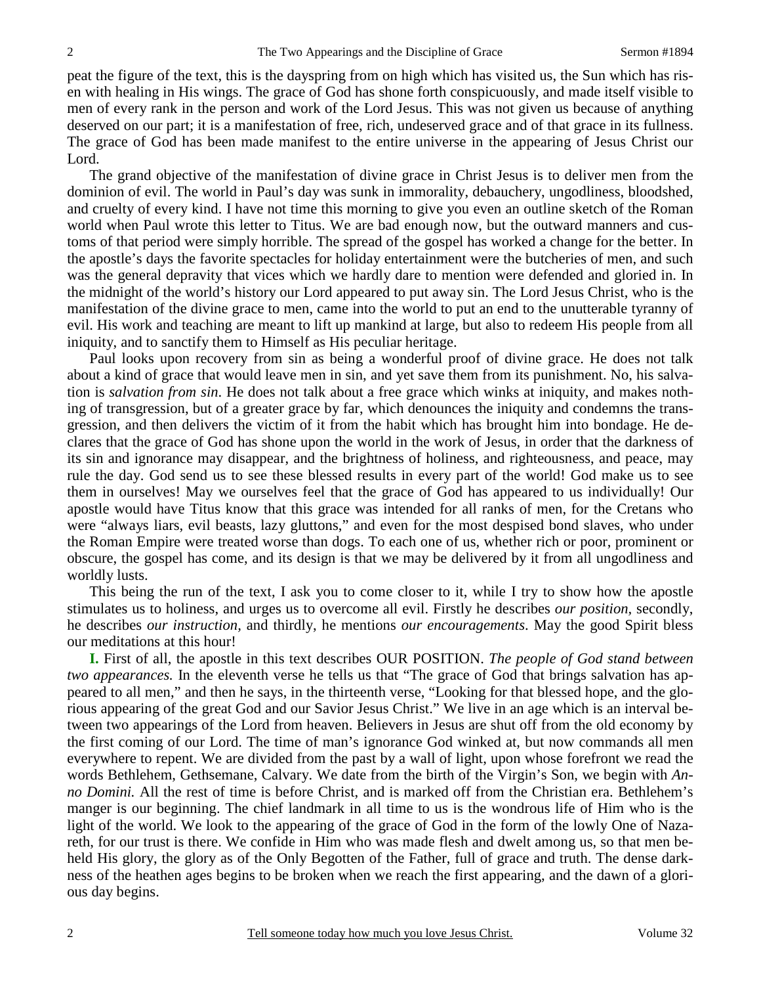peat the figure of the text, this is the dayspring from on high which has visited us, the Sun which has risen with healing in His wings. The grace of God has shone forth conspicuously, and made itself visible to men of every rank in the person and work of the Lord Jesus. This was not given us because of anything deserved on our part; it is a manifestation of free, rich, undeserved grace and of that grace in its fullness. The grace of God has been made manifest to the entire universe in the appearing of Jesus Christ our Lord.

 The grand objective of the manifestation of divine grace in Christ Jesus is to deliver men from the dominion of evil. The world in Paul's day was sunk in immorality, debauchery, ungodliness, bloodshed, and cruelty of every kind. I have not time this morning to give you even an outline sketch of the Roman world when Paul wrote this letter to Titus. We are bad enough now, but the outward manners and customs of that period were simply horrible. The spread of the gospel has worked a change for the better. In the apostle's days the favorite spectacles for holiday entertainment were the butcheries of men, and such was the general depravity that vices which we hardly dare to mention were defended and gloried in. In the midnight of the world's history our Lord appeared to put away sin. The Lord Jesus Christ, who is the manifestation of the divine grace to men, came into the world to put an end to the unutterable tyranny of evil. His work and teaching are meant to lift up mankind at large, but also to redeem His people from all iniquity, and to sanctify them to Himself as His peculiar heritage.

 Paul looks upon recovery from sin as being a wonderful proof of divine grace. He does not talk about a kind of grace that would leave men in sin, and yet save them from its punishment. No, his salvation is *salvation from sin*. He does not talk about a free grace which winks at iniquity, and makes nothing of transgression, but of a greater grace by far, which denounces the iniquity and condemns the transgression, and then delivers the victim of it from the habit which has brought him into bondage. He declares that the grace of God has shone upon the world in the work of Jesus, in order that the darkness of its sin and ignorance may disappear, and the brightness of holiness, and righteousness, and peace, may rule the day. God send us to see these blessed results in every part of the world! God make us to see them in ourselves! May we ourselves feel that the grace of God has appeared to us individually! Our apostle would have Titus know that this grace was intended for all ranks of men, for the Cretans who were "always liars, evil beasts, lazy gluttons," and even for the most despised bond slaves, who under the Roman Empire were treated worse than dogs. To each one of us, whether rich or poor, prominent or obscure, the gospel has come, and its design is that we may be delivered by it from all ungodliness and worldly lusts.

 This being the run of the text, I ask you to come closer to it, while I try to show how the apostle stimulates us to holiness, and urges us to overcome all evil. Firstly he describes *our position,* secondly, he describes *our instruction,* and thirdly, he mentions *our encouragements*. May the good Spirit bless our meditations at this hour!

**I.** First of all, the apostle in this text describes OUR POSITION. *The people of God stand between two appearances*. In the eleventh verse he tells us that "The grace of God that brings salvation has appeared to all men," and then he says, in the thirteenth verse, "Looking for that blessed hope, and the glorious appearing of the great God and our Savior Jesus Christ." We live in an age which is an interval between two appearings of the Lord from heaven. Believers in Jesus are shut off from the old economy by the first coming of our Lord. The time of man's ignorance God winked at, but now commands all men everywhere to repent. We are divided from the past by a wall of light, upon whose forefront we read the words Bethlehem, Gethsemane, Calvary. We date from the birth of the Virgin's Son, we begin with *Anno Domini.* All the rest of time is before Christ, and is marked off from the Christian era. Bethlehem's manger is our beginning. The chief landmark in all time to us is the wondrous life of Him who is the light of the world. We look to the appearing of the grace of God in the form of the lowly One of Nazareth, for our trust is there. We confide in Him who was made flesh and dwelt among us, so that men beheld His glory, the glory as of the Only Begotten of the Father, full of grace and truth. The dense darkness of the heathen ages begins to be broken when we reach the first appearing, and the dawn of a glorious day begins.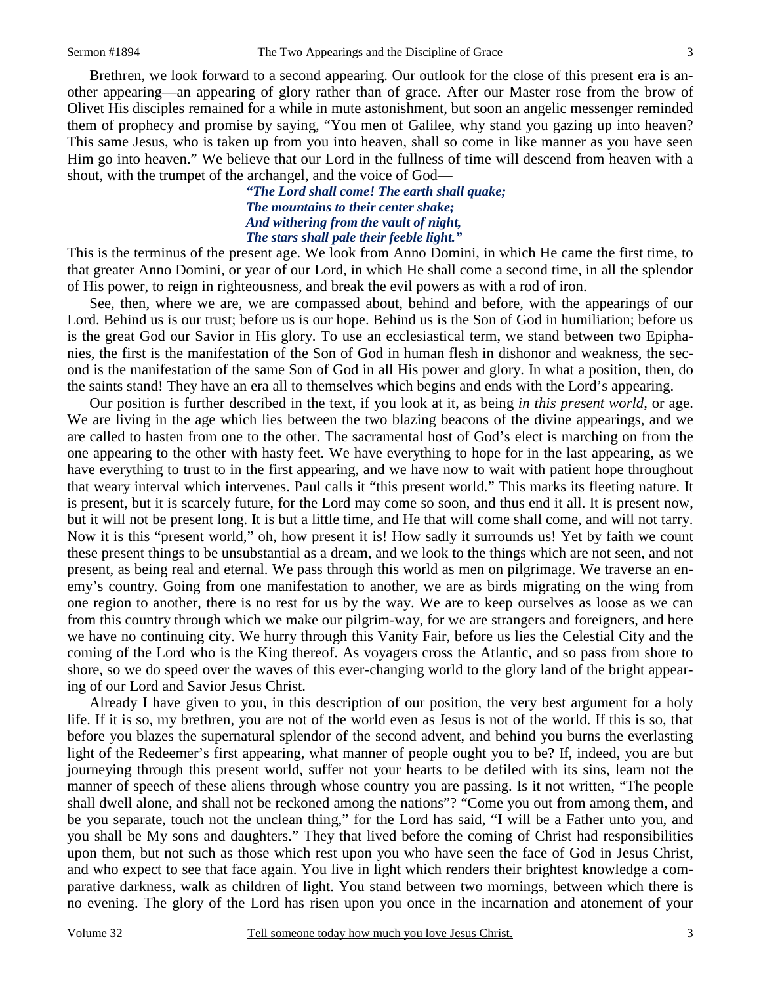Brethren, we look forward to a second appearing. Our outlook for the close of this present era is another appearing—an appearing of glory rather than of grace. After our Master rose from the brow of Olivet His disciples remained for a while in mute astonishment, but soon an angelic messenger reminded them of prophecy and promise by saying, "You men of Galilee, why stand you gazing up into heaven? This same Jesus, who is taken up from you into heaven, shall so come in like manner as you have seen Him go into heaven." We believe that our Lord in the fullness of time will descend from heaven with a shout, with the trumpet of the archangel, and the voice of God—

> *"The Lord shall come! The earth shall quake; The mountains to their center shake; And withering from the vault of night, The stars shall pale their feeble light."*

This is the terminus of the present age. We look from Anno Domini, in which He came the first time, to that greater Anno Domini, or year of our Lord, in which He shall come a second time, in all the splendor of His power, to reign in righteousness, and break the evil powers as with a rod of iron.

 See, then, where we are, we are compassed about, behind and before, with the appearings of our Lord. Behind us is our trust; before us is our hope. Behind us is the Son of God in humiliation; before us is the great God our Savior in His glory. To use an ecclesiastical term, we stand between two Epiphanies, the first is the manifestation of the Son of God in human flesh in dishonor and weakness, the second is the manifestation of the same Son of God in all His power and glory. In what a position, then, do the saints stand! They have an era all to themselves which begins and ends with the Lord's appearing.

 Our position is further described in the text, if you look at it, as being *in this present world,* or age. We are living in the age which lies between the two blazing beacons of the divine appearings, and we are called to hasten from one to the other. The sacramental host of God's elect is marching on from the one appearing to the other with hasty feet. We have everything to hope for in the last appearing, as we have everything to trust to in the first appearing, and we have now to wait with patient hope throughout that weary interval which intervenes. Paul calls it "this present world." This marks its fleeting nature. It is present, but it is scarcely future, for the Lord may come so soon, and thus end it all. It is present now, but it will not be present long. It is but a little time, and He that will come shall come, and will not tarry. Now it is this "present world," oh, how present it is! How sadly it surrounds us! Yet by faith we count these present things to be unsubstantial as a dream, and we look to the things which are not seen, and not present, as being real and eternal. We pass through this world as men on pilgrimage. We traverse an enemy's country. Going from one manifestation to another, we are as birds migrating on the wing from one region to another, there is no rest for us by the way. We are to keep ourselves as loose as we can from this country through which we make our pilgrim-way, for we are strangers and foreigners, and here we have no continuing city. We hurry through this Vanity Fair, before us lies the Celestial City and the coming of the Lord who is the King thereof. As voyagers cross the Atlantic, and so pass from shore to shore, so we do speed over the waves of this ever-changing world to the glory land of the bright appearing of our Lord and Savior Jesus Christ.

 Already I have given to you, in this description of our position, the very best argument for a holy life. If it is so, my brethren, you are not of the world even as Jesus is not of the world. If this is so, that before you blazes the supernatural splendor of the second advent, and behind you burns the everlasting light of the Redeemer's first appearing, what manner of people ought you to be? If, indeed, you are but journeying through this present world, suffer not your hearts to be defiled with its sins, learn not the manner of speech of these aliens through whose country you are passing. Is it not written, "The people shall dwell alone, and shall not be reckoned among the nations"? "Come you out from among them, and be you separate, touch not the unclean thing," for the Lord has said, "I will be a Father unto you, and you shall be My sons and daughters." They that lived before the coming of Christ had responsibilities upon them, but not such as those which rest upon you who have seen the face of God in Jesus Christ, and who expect to see that face again. You live in light which renders their brightest knowledge a comparative darkness, walk as children of light. You stand between two mornings, between which there is no evening. The glory of the Lord has risen upon you once in the incarnation and atonement of your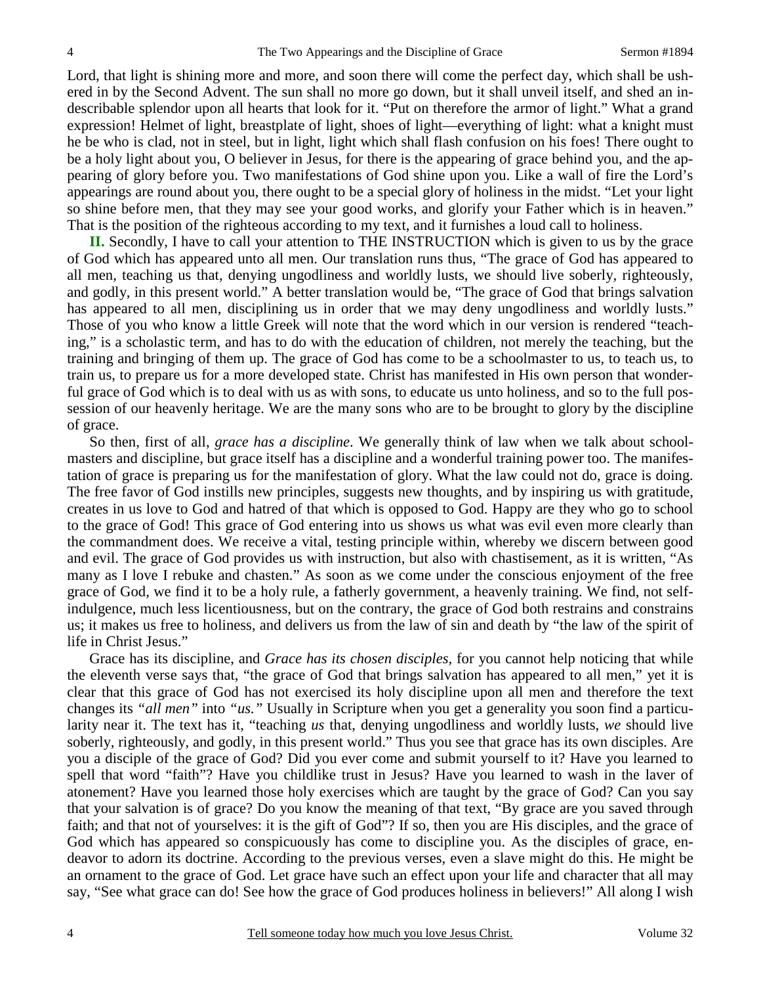Lord, that light is shining more and more, and soon there will come the perfect day, which shall be ushered in by the Second Advent. The sun shall no more go down, but it shall unveil itself, and shed an indescribable splendor upon all hearts that look for it. "Put on therefore the armor of light." What a grand expression! Helmet of light, breastplate of light, shoes of light—everything of light: what a knight must he be who is clad, not in steel, but in light, light which shall flash confusion on his foes! There ought to be a holy light about you, O believer in Jesus, for there is the appearing of grace behind you, and the appearing of glory before you. Two manifestations of God shine upon you. Like a wall of fire the Lord's appearings are round about you, there ought to be a special glory of holiness in the midst. "Let your light so shine before men, that they may see your good works, and glorify your Father which is in heaven." That is the position of the righteous according to my text, and it furnishes a loud call to holiness.

**II.** Secondly, I have to call your attention to THE INSTRUCTION which is given to us by the grace of God which has appeared unto all men. Our translation runs thus, "The grace of God has appeared to all men, teaching us that, denying ungodliness and worldly lusts, we should live soberly, righteously, and godly, in this present world." A better translation would be, "The grace of God that brings salvation has appeared to all men, disciplining us in order that we may deny ungodliness and worldly lusts." Those of you who know a little Greek will note that the word which in our version is rendered "teaching," is a scholastic term, and has to do with the education of children, not merely the teaching, but the training and bringing of them up. The grace of God has come to be a schoolmaster to us, to teach us, to train us, to prepare us for a more developed state. Christ has manifested in His own person that wonderful grace of God which is to deal with us as with sons, to educate us unto holiness, and so to the full possession of our heavenly heritage. We are the many sons who are to be brought to glory by the discipline of grace.

 So then, first of all, *grace has a discipline*. We generally think of law when we talk about schoolmasters and discipline, but grace itself has a discipline and a wonderful training power too. The manifestation of grace is preparing us for the manifestation of glory. What the law could not do, grace is doing. The free favor of God instills new principles, suggests new thoughts, and by inspiring us with gratitude, creates in us love to God and hatred of that which is opposed to God. Happy are they who go to school to the grace of God! This grace of God entering into us shows us what was evil even more clearly than the commandment does. We receive a vital, testing principle within, whereby we discern between good and evil. The grace of God provides us with instruction, but also with chastisement, as it is written, "As many as I love I rebuke and chasten." As soon as we come under the conscious enjoyment of the free grace of God, we find it to be a holy rule, a fatherly government, a heavenly training. We find, not selfindulgence, much less licentiousness, but on the contrary, the grace of God both restrains and constrains us; it makes us free to holiness, and delivers us from the law of sin and death by "the law of the spirit of life in Christ Jesus."

 Grace has its discipline, and *Grace has its chosen disciples,* for you cannot help noticing that while the eleventh verse says that, "the grace of God that brings salvation has appeared to all men," yet it is clear that this grace of God has not exercised its holy discipline upon all men and therefore the text changes its *"all men"* into *"us."* Usually in Scripture when you get a generality you soon find a particularity near it. The text has it, "teaching *us* that, denying ungodliness and worldly lusts, *we* should live soberly, righteously, and godly, in this present world." Thus you see that grace has its own disciples. Are you a disciple of the grace of God? Did you ever come and submit yourself to it? Have you learned to spell that word "faith"? Have you childlike trust in Jesus? Have you learned to wash in the laver of atonement? Have you learned those holy exercises which are taught by the grace of God? Can you say that your salvation is of grace? Do you know the meaning of that text, "By grace are you saved through faith; and that not of yourselves: it is the gift of God"? If so, then you are His disciples, and the grace of God which has appeared so conspicuously has come to discipline you. As the disciples of grace, endeavor to adorn its doctrine. According to the previous verses, even a slave might do this. He might be an ornament to the grace of God. Let grace have such an effect upon your life and character that all may say, "See what grace can do! See how the grace of God produces holiness in believers!" All along I wish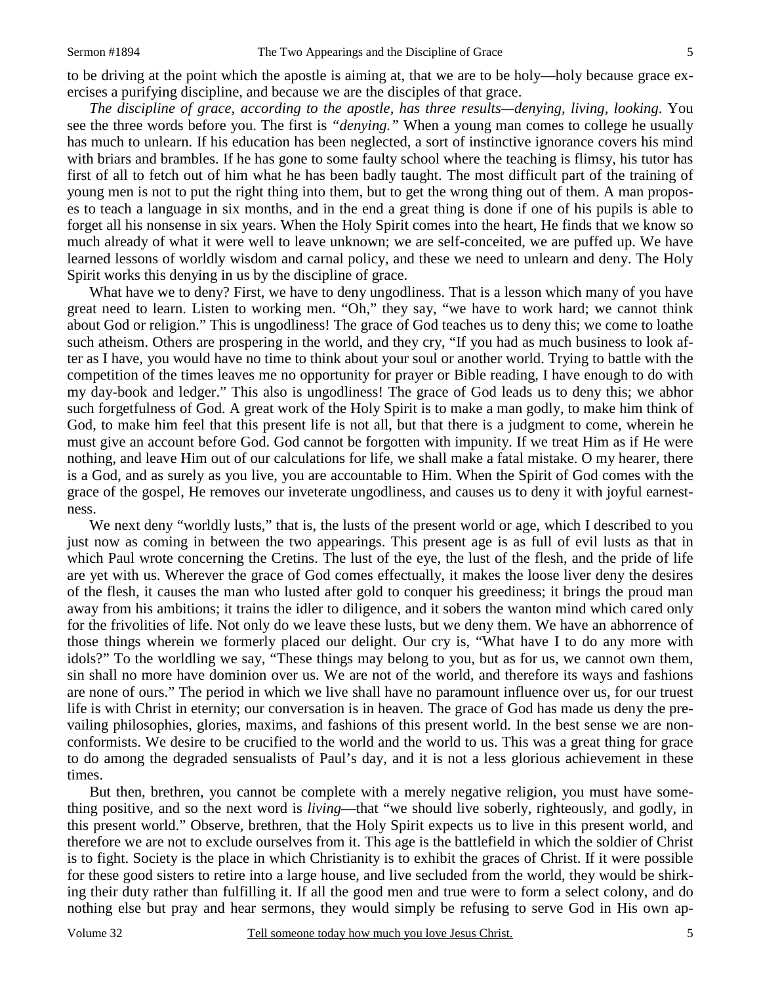to be driving at the point which the apostle is aiming at, that we are to be holy—holy because grace exercises a purifying discipline, and because we are the disciples of that grace.

*The discipline of grace, according to the apostle, has three results—denying, living, looking*. You see the three words before you. The first is *"denying."* When a young man comes to college he usually has much to unlearn. If his education has been neglected, a sort of instinctive ignorance covers his mind with briars and brambles. If he has gone to some faulty school where the teaching is flimsy, his tutor has first of all to fetch out of him what he has been badly taught. The most difficult part of the training of young men is not to put the right thing into them, but to get the wrong thing out of them. A man proposes to teach a language in six months, and in the end a great thing is done if one of his pupils is able to forget all his nonsense in six years. When the Holy Spirit comes into the heart, He finds that we know so much already of what it were well to leave unknown; we are self-conceited, we are puffed up. We have learned lessons of worldly wisdom and carnal policy, and these we need to unlearn and deny. The Holy Spirit works this denying in us by the discipline of grace.

 What have we to deny? First, we have to deny ungodliness. That is a lesson which many of you have great need to learn. Listen to working men. "Oh," they say, "we have to work hard; we cannot think about God or religion." This is ungodliness! The grace of God teaches us to deny this; we come to loathe such atheism. Others are prospering in the world, and they cry, "If you had as much business to look after as I have, you would have no time to think about your soul or another world. Trying to battle with the competition of the times leaves me no opportunity for prayer or Bible reading, I have enough to do with my day-book and ledger." This also is ungodliness! The grace of God leads us to deny this; we abhor such forgetfulness of God. A great work of the Holy Spirit is to make a man godly, to make him think of God, to make him feel that this present life is not all, but that there is a judgment to come, wherein he must give an account before God. God cannot be forgotten with impunity. If we treat Him as if He were nothing, and leave Him out of our calculations for life, we shall make a fatal mistake. O my hearer, there is a God, and as surely as you live, you are accountable to Him. When the Spirit of God comes with the grace of the gospel, He removes our inveterate ungodliness, and causes us to deny it with joyful earnestness.

We next deny "worldly lusts," that is, the lusts of the present world or age, which I described to you just now as coming in between the two appearings. This present age is as full of evil lusts as that in which Paul wrote concerning the Cretins. The lust of the eye, the lust of the flesh, and the pride of life are yet with us. Wherever the grace of God comes effectually, it makes the loose liver deny the desires of the flesh, it causes the man who lusted after gold to conquer his greediness; it brings the proud man away from his ambitions; it trains the idler to diligence, and it sobers the wanton mind which cared only for the frivolities of life. Not only do we leave these lusts, but we deny them. We have an abhorrence of those things wherein we formerly placed our delight. Our cry is, "What have I to do any more with idols?" To the worldling we say, "These things may belong to you, but as for us, we cannot own them, sin shall no more have dominion over us. We are not of the world, and therefore its ways and fashions are none of ours." The period in which we live shall have no paramount influence over us, for our truest life is with Christ in eternity; our conversation is in heaven. The grace of God has made us deny the prevailing philosophies, glories, maxims, and fashions of this present world. In the best sense we are nonconformists. We desire to be crucified to the world and the world to us. This was a great thing for grace to do among the degraded sensualists of Paul's day, and it is not a less glorious achievement in these times.

 But then, brethren, you cannot be complete with a merely negative religion, you must have something positive, and so the next word is *living*—that "we should live soberly, righteously, and godly, in this present world." Observe, brethren, that the Holy Spirit expects us to live in this present world, and therefore we are not to exclude ourselves from it. This age is the battlefield in which the soldier of Christ is to fight. Society is the place in which Christianity is to exhibit the graces of Christ. If it were possible for these good sisters to retire into a large house, and live secluded from the world, they would be shirking their duty rather than fulfilling it. If all the good men and true were to form a select colony, and do nothing else but pray and hear sermons, they would simply be refusing to serve God in His own ap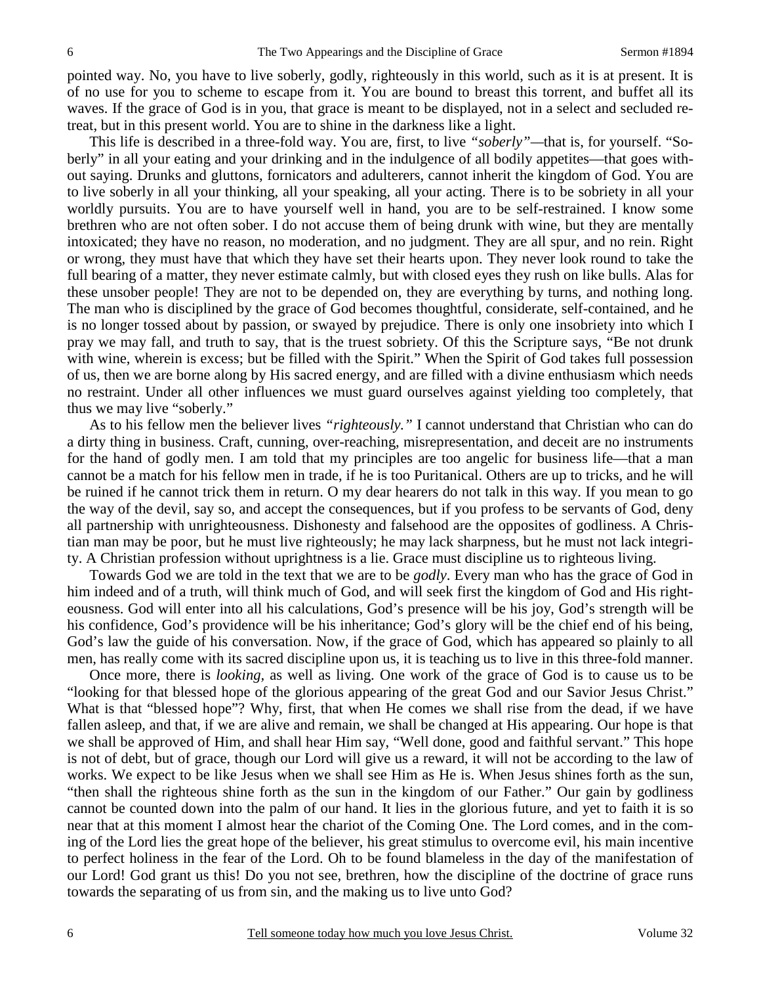pointed way. No, you have to live soberly, godly, righteously in this world, such as it is at present. It is of no use for you to scheme to escape from it. You are bound to breast this torrent, and buffet all its waves. If the grace of God is in you, that grace is meant to be displayed, not in a select and secluded retreat, but in this present world. You are to shine in the darkness like a light.

 This life is described in a three-fold way. You are, first, to live *"soberly"—*that is, for yourself. "Soberly" in all your eating and your drinking and in the indulgence of all bodily appetites—that goes without saying. Drunks and gluttons, fornicators and adulterers, cannot inherit the kingdom of God. You are to live soberly in all your thinking, all your speaking, all your acting. There is to be sobriety in all your worldly pursuits. You are to have yourself well in hand, you are to be self-restrained. I know some brethren who are not often sober. I do not accuse them of being drunk with wine, but they are mentally intoxicated; they have no reason, no moderation, and no judgment. They are all spur, and no rein. Right or wrong, they must have that which they have set their hearts upon. They never look round to take the full bearing of a matter, they never estimate calmly, but with closed eyes they rush on like bulls. Alas for these unsober people! They are not to be depended on, they are everything by turns, and nothing long. The man who is disciplined by the grace of God becomes thoughtful, considerate, self-contained, and he is no longer tossed about by passion, or swayed by prejudice. There is only one insobriety into which I pray we may fall, and truth to say, that is the truest sobriety. Of this the Scripture says, "Be not drunk with wine, wherein is excess; but be filled with the Spirit." When the Spirit of God takes full possession of us, then we are borne along by His sacred energy, and are filled with a divine enthusiasm which needs no restraint. Under all other influences we must guard ourselves against yielding too completely, that thus we may live "soberly."

 As to his fellow men the believer lives *"righteously."* I cannot understand that Christian who can do a dirty thing in business. Craft, cunning, over-reaching, misrepresentation, and deceit are no instruments for the hand of godly men. I am told that my principles are too angelic for business life—that a man cannot be a match for his fellow men in trade, if he is too Puritanical. Others are up to tricks, and he will be ruined if he cannot trick them in return. O my dear hearers do not talk in this way. If you mean to go the way of the devil, say so, and accept the consequences, but if you profess to be servants of God, deny all partnership with unrighteousness. Dishonesty and falsehood are the opposites of godliness. A Christian man may be poor, but he must live righteously; he may lack sharpness, but he must not lack integrity. A Christian profession without uprightness is a lie. Grace must discipline us to righteous living.

 Towards God we are told in the text that we are to be *godly*. Every man who has the grace of God in him indeed and of a truth, will think much of God, and will seek first the kingdom of God and His righteousness. God will enter into all his calculations, God's presence will be his joy, God's strength will be his confidence, God's providence will be his inheritance; God's glory will be the chief end of his being, God's law the guide of his conversation. Now, if the grace of God, which has appeared so plainly to all men, has really come with its sacred discipline upon us, it is teaching us to live in this three-fold manner.

 Once more, there is *looking,* as well as living. One work of the grace of God is to cause us to be "looking for that blessed hope of the glorious appearing of the great God and our Savior Jesus Christ." What is that "blessed hope"? Why, first, that when He comes we shall rise from the dead, if we have fallen asleep, and that, if we are alive and remain, we shall be changed at His appearing. Our hope is that we shall be approved of Him, and shall hear Him say, "Well done, good and faithful servant." This hope is not of debt, but of grace, though our Lord will give us a reward, it will not be according to the law of works. We expect to be like Jesus when we shall see Him as He is. When Jesus shines forth as the sun, "then shall the righteous shine forth as the sun in the kingdom of our Father." Our gain by godliness cannot be counted down into the palm of our hand. It lies in the glorious future, and yet to faith it is so near that at this moment I almost hear the chariot of the Coming One. The Lord comes, and in the coming of the Lord lies the great hope of the believer, his great stimulus to overcome evil, his main incentive to perfect holiness in the fear of the Lord. Oh to be found blameless in the day of the manifestation of our Lord! God grant us this! Do you not see, brethren, how the discipline of the doctrine of grace runs towards the separating of us from sin, and the making us to live unto God?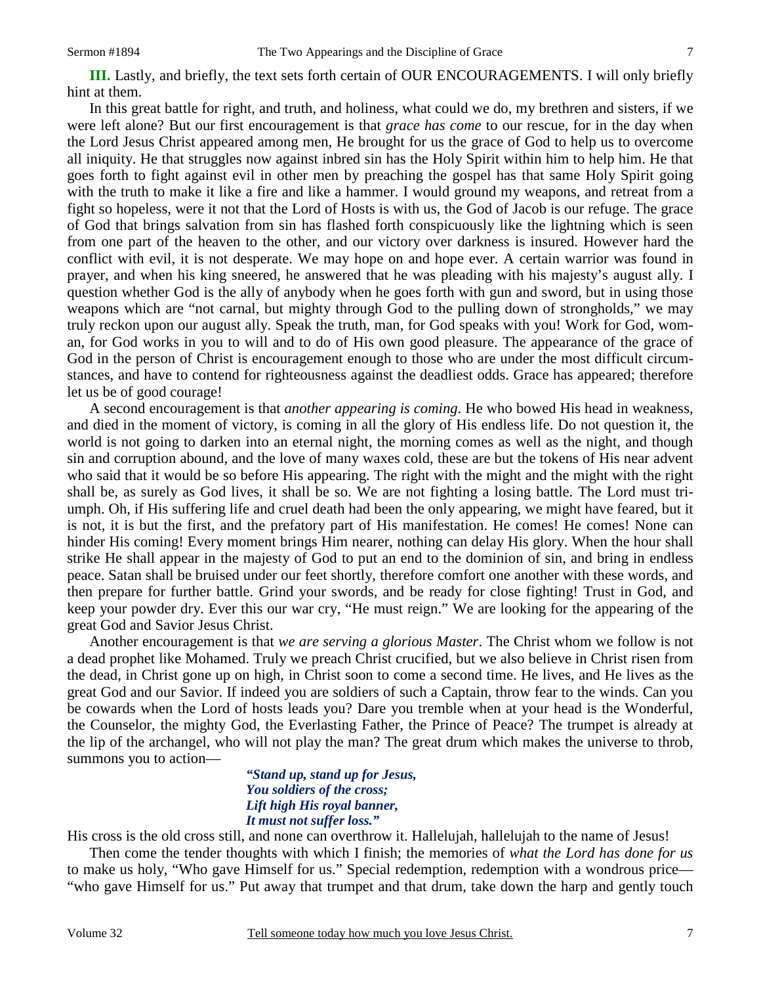**III.** Lastly, and briefly, the text sets forth certain of OUR ENCOURAGEMENTS. I will only briefly hint at them.

 In this great battle for right, and truth, and holiness, what could we do, my brethren and sisters, if we were left alone? But our first encouragement is that *grace has come* to our rescue, for in the day when the Lord Jesus Christ appeared among men, He brought for us the grace of God to help us to overcome all iniquity. He that struggles now against inbred sin has the Holy Spirit within him to help him. He that goes forth to fight against evil in other men by preaching the gospel has that same Holy Spirit going with the truth to make it like a fire and like a hammer. I would ground my weapons, and retreat from a fight so hopeless, were it not that the Lord of Hosts is with us, the God of Jacob is our refuge. The grace of God that brings salvation from sin has flashed forth conspicuously like the lightning which is seen from one part of the heaven to the other, and our victory over darkness is insured. However hard the conflict with evil, it is not desperate. We may hope on and hope ever. A certain warrior was found in prayer, and when his king sneered, he answered that he was pleading with his majesty's august ally. I question whether God is the ally of anybody when he goes forth with gun and sword, but in using those weapons which are "not carnal, but mighty through God to the pulling down of strongholds," we may truly reckon upon our august ally. Speak the truth, man, for God speaks with you! Work for God, woman, for God works in you to will and to do of His own good pleasure. The appearance of the grace of God in the person of Christ is encouragement enough to those who are under the most difficult circumstances, and have to contend for righteousness against the deadliest odds. Grace has appeared; therefore let us be of good courage!

 A second encouragement is that *another appearing is coming*. He who bowed His head in weakness, and died in the moment of victory, is coming in all the glory of His endless life. Do not question it, the world is not going to darken into an eternal night, the morning comes as well as the night, and though sin and corruption abound, and the love of many waxes cold, these are but the tokens of His near advent who said that it would be so before His appearing. The right with the might and the might with the right shall be, as surely as God lives, it shall be so. We are not fighting a losing battle. The Lord must triumph. Oh, if His suffering life and cruel death had been the only appearing, we might have feared, but it is not, it is but the first, and the prefatory part of His manifestation. He comes! He comes! None can hinder His coming! Every moment brings Him nearer, nothing can delay His glory. When the hour shall strike He shall appear in the majesty of God to put an end to the dominion of sin, and bring in endless peace. Satan shall be bruised under our feet shortly, therefore comfort one another with these words, and then prepare for further battle. Grind your swords, and be ready for close fighting! Trust in God, and keep your powder dry. Ever this our war cry, "He must reign." We are looking for the appearing of the great God and Savior Jesus Christ.

 Another encouragement is that *we are serving a glorious Master*. The Christ whom we follow is not a dead prophet like Mohamed. Truly we preach Christ crucified, but we also believe in Christ risen from the dead, in Christ gone up on high, in Christ soon to come a second time. He lives, and He lives as the great God and our Savior. If indeed you are soldiers of such a Captain, throw fear to the winds. Can you be cowards when the Lord of hosts leads you? Dare you tremble when at your head is the Wonderful, the Counselor, the mighty God, the Everlasting Father, the Prince of Peace? The trumpet is already at the lip of the archangel, who will not play the man? The great drum which makes the universe to throb, summons you to action—

> *"Stand up, stand up for Jesus, You soldiers of the cross; Lift high His royal banner, It must not suffer loss."*

His cross is the old cross still, and none can overthrow it. Hallelujah, hallelujah to the name of Jesus!

 Then come the tender thoughts with which I finish; the memories of *what the Lord has done for us* to make us holy, "Who gave Himself for us." Special redemption, redemption with a wondrous price— "who gave Himself for us." Put away that trumpet and that drum, take down the harp and gently touch